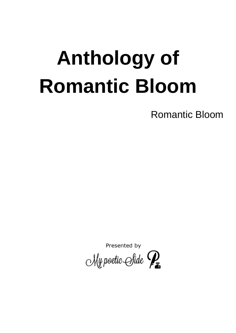# **Anthology of Romantic Bloom**

Romantic Bloom

Presented by

 $\mathcal{A}$ ly poetic Side  $\mathcal{P}_{\bar{a}}$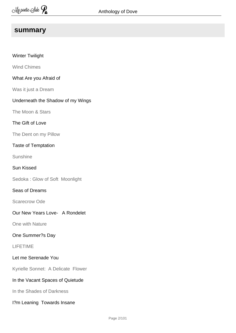## **summary**

#### Winter Twilight

Wind Chimes

What Are you Afraid of

Was it just a Dream

#### Underneath the Shadow of my Wings

The Moon & Stars

#### The Gift of Love

The Dent on my Pillow

#### Taste of Temptation

**Sunshine** 

#### Sun Kissed

Sedoka : Glow of Soft Moonlight

#### Seas of Dreams

Scarecrow Ode

#### Our New Years Love- A Rondelet

One with Nature

#### One Summer?s Day

LIFETIME

#### Let me Serenade You

Kyrielle Sonnet: A Delicate Flower

#### In the Vacant Spaces of Quietude

In the Shades of Darkness

#### I?m Leaning Towards Insane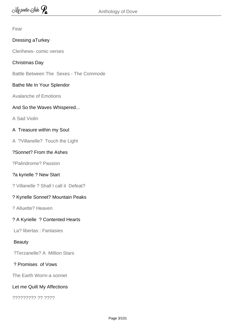#### Fear

#### Dressing aTurkey

Clerihews- comic verses

#### Christmas Day

Battle Between The Sexes - The Commode

#### Bathe Me In Your Splendor

Avalanche of Emotions

#### And So the Waves Whispered...

A Sad Violin

#### A Treasure within my Soul

A ?Villanelle? Touch the Light

#### ?Sonnet? From the Ashes

?Palindrome? Passion

#### ?a kyrielle ? New Start

? Villanelle ? Shall I call it Defeat?

#### ? Kyrielle Sonnet? Mountain Peaks

? Alluette? Heaven

#### ? A Kyrielle ? Contented Hearts

La? libertas : Fantasies

#### Beauty

?Terzanelle? A Million Stars

#### ? Promises of Vows

The Earth Worm-a sonnet

#### Let me Quilt My Affections

????????? ?? ????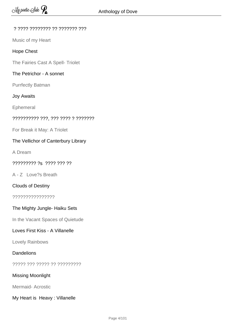#### ? ???? ???????? ?? ??????? ???

Music of my Heart

#### Hope Chest

The Fairies Cast A Spell- Triolet

#### The Petrichor - A sonnet

Purrfectly Batman

#### Joy Awaits

Ephemeral

#### ?????????? ???, ??? ???? ? ???????

For Break it May: A Triolet

#### The Vellichor of Canterbury Library

A Dream

#### ????????? ?s ???? ??? ??

A - Z Love?s Breath

#### Clouds of Destiny

????????????????

#### The Mighty Jungle- Haiku Sets

In the Vacant Spaces of Quietude

#### Loves First Kiss - A Villanelle

Lovely Rainbows

#### **Dandelions**

????? ??? ????? ?? ?????????

#### Missing Moonlight

Mermaid- Acrostic

My Heart is Heavy : Villanelle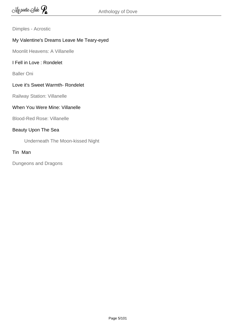Dimples - Acrostic

#### My Valentine's Dreams Leave Me Teary-eyed

Moonlit Heavens: A Villanelle

#### I Fell in Love : Rondelet

Baller Oni

#### Love it's Sweet Warmth- Rondelet

Railway Station: Villanelle

#### When You Were Mine: Villanelle

Blood-Red Rose: Villanelle

#### Beauty Upon The Sea

Underneath The Moon-kissed Night

#### Tin Man

Dungeons and Dragons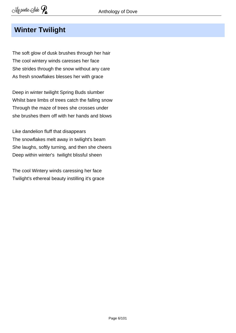# **Winter Twilight**

The soft glow of dusk brushes through her hair The cool wintery winds caresses her face She strides through the snow without any care As fresh snowflakes blesses her with grace

Deep in winter twilight Spring Buds slumber Whilst bare limbs of trees catch the falling snow Through the maze of trees she crosses under she brushes them off with her hands and blows

Like dandelion fluff that disappears The snowflakes melt away in twilight's beam She laughs, softly turning, and then she cheers Deep within winter's twilight blissful sheen

The cool Wintery winds caressing her face Twilight's ethereal beauty instilling it's grace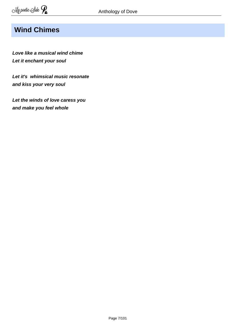# **Wind Chimes**

**Love like a musical wind chime Let it enchant your soul**

**Let it's whimsical music resonate and kiss your very soul**

**Let the winds of love caress you and make you feel whole**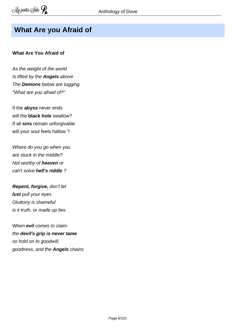# **What Are you Afraid of**

#### **What Are You Afraid of**

As the weight of the world Is lifted by the **Angels** above The **Demons** below are tugging "What are you afraid of?"

If the **abyss** never ends will the **black hole** swallow? If all **sins** remain unforgivable will your soul feels hallow ?

Where do you go when you are stuck in the middle? Not worthy of **heaven** or can't solve **hell's riddle** ?

**Repent, forgive,** don't let **lust** pull your eyes Gluttony is shameful is it truth, or made up lies

When **evil** comes to claim the **devil's grip is never tame** so hold on to goodwill, goodness, and the **Angels** chains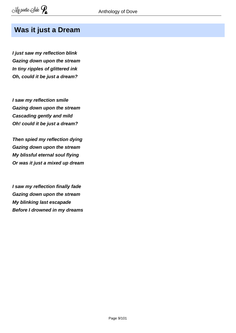# **Was it just a Dream**

**I just saw my reflection blink Gazing down upon the stream In tiny ripples of glittered ink Oh, could it be just a dream?**

**I saw my reflection smile Gazing down upon the stream Cascading gently and mild Oh! could it be just a dream?**

**Then spied my reflection dying Gazing down upon the stream My blissful eternal soul flying Or was it just a mixed up dream**

**I saw my reflection finally fade Gazing down upon the stream My blinking last escapade Before I drowned in my dreams**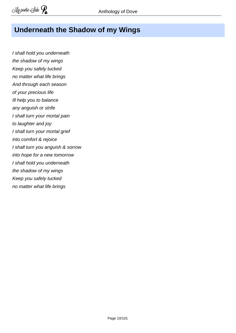# **Underneath the Shadow of my Wings**

I shall hold you underneath the shadow of my wings Keep you safely tucked no matter what life brings And through each season of your precious life Ill help you to balance any anguish or strife I shall turn your mortal pain to laughter and joy I shall turn your mortal grief into comfort & rejoice I shall turn you anguish & sorrow into hope for a new tomorrow I shall hold you underneath the shadow of my wings Keep you safely tucked no matter what life brings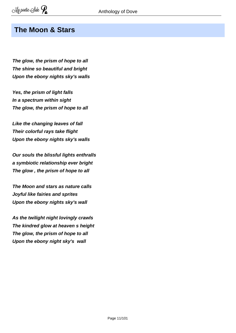## **The Moon & Stars**

**The glow, the prism of hope to all The shine so beautiful and bright Upon the ebony nights sky's walls**

**Yes, the prism of light falls In a spectrum within sight The glow, the prism of hope to all** 

**Like the changing leaves of fall Their colorful rays take flight Upon the ebony nights sky's walls**

**Our souls the blissful lights enthralls a symbiotic relationship ever bright The glow , the prism of hope to all** 

**The Moon and stars as nature calls Joyful like fairies and sprites Upon the ebony nights sky's wall**

**As the twilight night lovingly crawls The kindred glow at heaven s height The glow, the prism of hope to all Upon the ebony night sky's wall**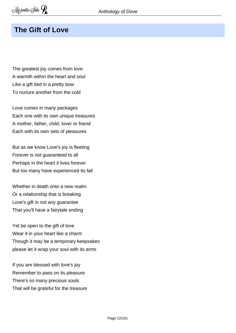## **The Gift of Love**

The greatest joy comes from love A warmth within the heart and soul Like a gift tied in a pretty bow To nurture another from the cold

Love comes in many packages Each one with its own unique treasures A mother, father, child, lover or friend Each with its own sets of pleasures

But as we know Love's joy is fleeting Forever is not guaranteed to all Perhaps in the heart it lives forever But too many have experienced its fall

Whether in death onto a new realm Or a relationship that is breaking Love's gift in not any guarantee That you'll have a fairytale ending

Yet be open to the gift of love Wear it in your heart like a charm Though it may be a temporary keepsakes please let it wrap your soul with its arms

If you are blessed with love's joy Remember to pass on its pleasure There's so many precious souls That will be grateful for the treasure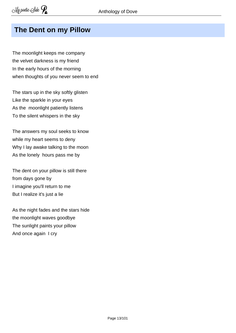## **The Dent on my Pillow**

The moonlight keeps me company the velvet darkness is my friend In the early hours of the morning when thoughts of you never seem to end

The stars up in the sky softly glisten Like the sparkle in your eyes As the moonlight patiently listens To the silent whispers in the sky

The answers my soul seeks to know while my heart seems to deny Why I lay awake talking to the moon As the lonely hours pass me by

The dent on your pillow is still there from days gone by I imagine you'll return to me But I realize it's just a lie

As the night fades and the stars hide the moonlight waves goodbye The sunlight paints your pillow And once again I cry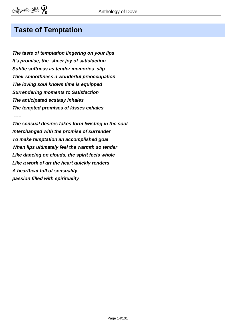## **Taste of Temptation**

**The taste of temptation lingering on your lips It's promise, the sheer joy of satisfaction Subtle softness as tender memories slip Their smoothness a wonderful preoccupation The loving soul knows time is equipped Surrendering moments to Satisfaction The anticipated ecstasy inhales The tempted promises of kisses exhales**  -----

**The sensual desires takes form twisting in the soul Interchanged with the promise of surrender To make temptation an accomplished goal When lips ultimately feel the warmth so tender Like dancing on clouds, the spirit feels whole Like a work of art the heart quickly renders A heartbeat full of sensuality passion filled with spirituality**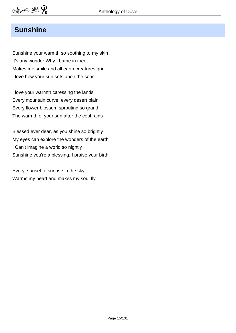# **Sunshine**

Sunshine your warmth so soothing to my skin It's any wonder Why I bathe in thee, Makes me smile and all earth creatures grin I love how your sun sets upon the seas

I love your warmth caressing the lands Every mountain curve, every desert plain Every flower blossom sprouting so grand The warmth of your sun after the cool rains

Blessed ever dear, as you shine so brightly My eyes can explore the wonders of the earth I Can't imagine a world so nightly Sunshine you're a blessing, I praise your birth

Every sunset to sunrise in the sky Warms my heart and makes my soul fly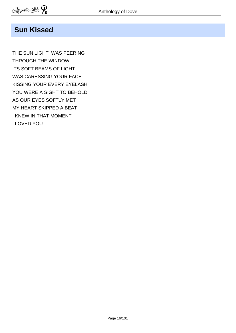# **Sun Kissed**

THE SUN LIGHT WAS PEERING THROUGH THE WINDOW ITS SOFT BEAMS OF LIGHT WAS CARESSING YOUR FACE KISSING YOUR EVERY EYELASH YOU WERE A SIGHT TO BEHOLD AS OUR EYES SOFTLY MET MY HEART SKIPPED A BEAT I KNEW IN THAT MOMENT I LOVED YOU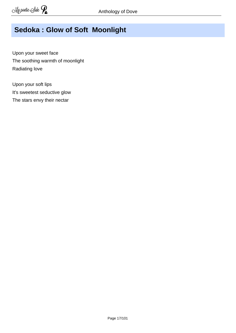# **Sedoka : Glow of Soft Moonlight**

Upon your sweet face The soothing warmth of moonlight Radiating love

Upon your soft lips It's sweetest seductive glow The stars envy their nectar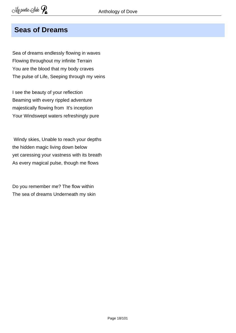## **Seas of Dreams**

Sea of dreams endlessly flowing in waves Flowing throughout my infinite Terrain You are the blood that my body craves The pulse of Life, Seeping through my veins

I see the beauty of your reflection Beaming with every rippled adventure majestically flowing from It's inception Your Windswept waters refreshingly pure

 Windy skies, Unable to reach your depths the hidden magic living down below yet caressing your vastness with its breath As every magical pulse, though me flows

Do you remember me? The flow within The sea of dreams Underneath my skin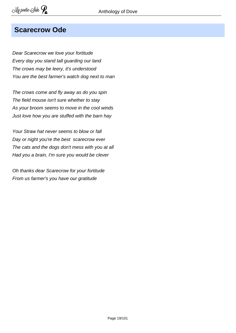## **Scarecrow Ode**

Dear Scarecrow we love your fortitude Every day you stand tall guarding our land The crows may be leery, it's understood You are the best farmer's watch dog next to man

The crows come and fly away as do you spin The field mouse isn't sure whether to stay As your broom seems to move in the cool winds Just love how you are stuffed with the barn hay

Your Straw hat never seems to blow or fall Day or night you're the best scarecrow ever The cats and the dogs don't mess with you at all Had you a brain, I'm sure you would be clever

Oh thanks dear Scarecrow for your fortitude From us farmer's you have our gratitude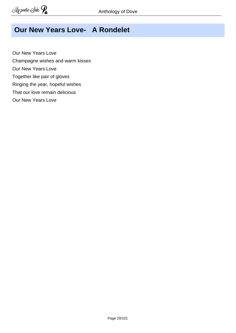# **Our New Years Love- A Rondelet**

Our New Years Love Champagne wishes and warm kisses Our New Years Love Together like pair of gloves Ringing the year, hopeful wishes That our love remain delicious Our New Years Love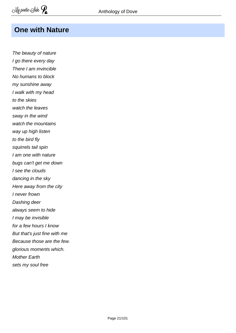# **One with Nature**

The beauty of nature I go there every day There I am invincible No humans to block my sunshine away I walk with my head to the skies watch the leaves sway in the wind watch the mountains way up high listen to the bird fly squirrels tail spin I am one with nature bugs can't get me down I see the clouds dancing in the sky Here away from the city I never frown Dashing deer always seem to hide I may be invisible for a few hours I know But that's just fine with me Because those are the few. glorious moments which. Mother Earth sets my soul free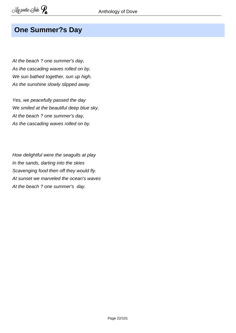## **One Summer?s Day**

At the beach ? one summer's day, As the cascading waves rolled on by, We sun bathed together, sun up high, As the sunshine slowly slipped away.

Yes, we peacefully passed the day We smiled at the beautiful deep blue sky, At the beach ? one summer's day, As the cascading waves rolled on by.

How delightful were the seagulls at play In the sands, darting into the skies Scavenging food then off they would fly. At sunset we marveled the ocean's waves At the beach ? one summer's day.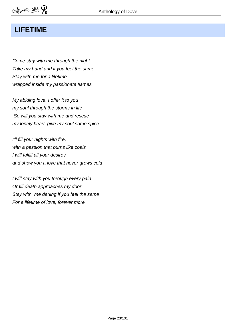## **LIFETIME**

Come stay with me through the night Take my hand and if you feel the same Stay with me for a lifetime wrapped inside my passionate flames

My abiding love. I offer it to you my soul through the storms in life So will you stay with me and rescue my lonely heart, give my soul some spice

I'll fill your nights with fire, with a passion that burns like coals I will fulfill all your desires and show you a love that never grows cold

I will stay with you through every pain Or till death approaches my door Stay with me darling if you feel the same For a lifetime of love, forever more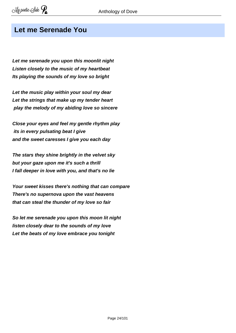## **Let me Serenade You**

**Let me serenade you upon this moonlit night Listen closely to the music of my heartbeat Its playing the sounds of my love so bright**

**Let the music play within your soul my dear Let the strings that make up my tender heart play the melody of my abiding love so sincere**

**Close your eyes and feel my gentle rhythm play its in every pulsating beat I give and the sweet caresses I give you each day**

**The stars they shine brightly in the velvet sky but your gaze upon me it's such a thrill I fall deeper in love with you, and that's no lie**

**Your sweet kisses there's nothing that can compare There's no supernova upon the vast heavens that can steal the thunder of my love so fair**

**So let me serenade you upon this moon lit night listen closely dear to the sounds of my love Let the beats of my love embrace you tonight**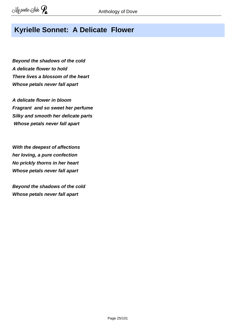# **Kyrielle Sonnet: A Delicate Flower**

**Beyond the shadows of the cold A delicate flower to hold There lives a blossom of the heart Whose petals never fall apart**

**A delicate flower in bloom Fragrant and so sweet her perfume Silky and smooth her delicate parts Whose petals never fall apart**

**With the deepest of affections her loving, a pure confection No prickly thorns in her heart Whose petals never fall apart**

**Beyond the shadows of the cold Whose petals never fall apart**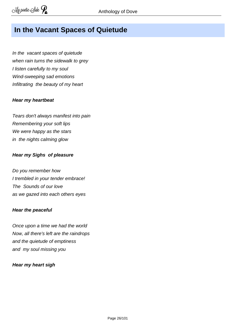# **In the Vacant Spaces of Quietude**

In the vacant spaces of quietude when rain turns the sidewalk to grey I listen carefully to my soul Wind-sweeping sad emotions Infiltrating the beauty of my heart

#### **Hear my heartbeat**

Tears don't always manifest into pain Remembering your soft lips We were happy as the stars in the nights calming glow

#### **Hear my Sighs of pleasure**

Do you remember how I trembled in your tender embrace! The Sounds of our love as we gazed into each others eyes

#### **Hear the peaceful**

Once upon a time we had the world Now, all there's left are the raindrops and the quietude of emptiness and my soul missing you

#### **Hear my heart sigh**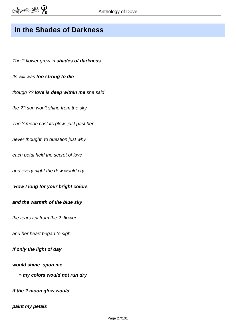# **In the Shades of Darkness**

The ? flower grew in **shades of darkness** Its will was **too strong to die** though ?? **love is deep within me** she said the ?? sun won't shine from the sky The ? moon cast its glow just past her never thought to question just why each petal held the secret of love and every night the dew would cry "**How I long for your bright colors and the warmth of the blue sky** the tears fell from the ? flower and her heart began to sigh **If only the light of day would shine upon me** » **my colors would not run dry if the ? moon glow would**

**paint my petals**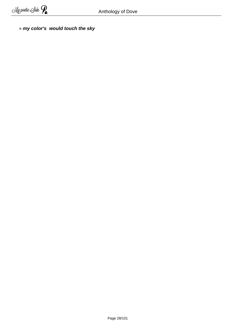» **my color's would touch the sky**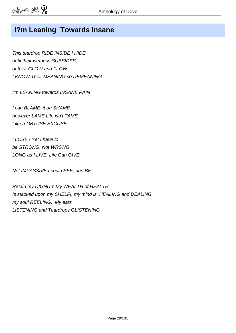# **I?m Leaning Towards Insane**

This teardrop RIDE INSIDE I HIDE until their wetness SUBSIDES, of their GLOW and FLOW I KNOW Their MEANING so DEMEANING

I'm LEANING towards INSANE PAIN

I can BLAME it on SHAME however LAME Life isn't TAME Like a OBTUSE EXCUSE

I LOSE ! Yet I have to be STRONG, Not WRONG LONG as I LIVE, Life Can GIVE

Not IMPASSIVE I could SEE, and BE

Retain my DIGNITY My WEALTH of HEALTH Is stacked upon my SHELF!, my mind is HEALING and DEALING my soul REELING, My ears LISTENING and Teardrops GLISTENING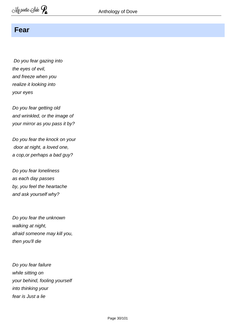## **Fear**

Do you fear gazing into the eyes of evil, and freeze when you realize it looking into your eyes

Do you fear getting old and wrinkled, or the image of your mirror as you pass it by?

Do you fear the knock on your door at night, a loved one, a cop,or perhaps a bad guy?

Do you fear loneliness as each day passes by, you feel the heartache and ask yourself why?

Do you fear the unknown walking at night, afraid someone may kill you, then you'll die

Do you fear failure while sitting on your behind, fooling yourself into thinking your fear is Just a lie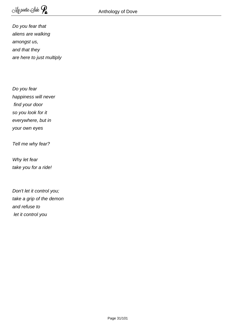Do you fear that aliens are walking amongst us, and that they are here to just multiply

Do you fear happiness will never find your door so you look for it everywhere, but in your own eyes

Tell me why fear?

Why let fear take you for a ride!

Don't let it control you; take a grip of the demon and refuse to let it control you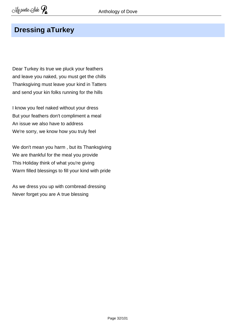# **Dressing aTurkey**

Dear Turkey its true we pluck your feathers and leave you naked, you must get the chills Thanksgiving must leave your kind in Tatters and send your kin folks running for the hills

I know you feel naked without your dress But your feathers don't compliment a meal An issue we also have to address We're sorry, we know how you truly feel

We don't mean you harm , but its Thanksgiving We are thankful for the meal you provide This Holiday think of what you're giving Warm filled blessings to fill your kind with pride

As we dress you up with cornbread dressing Never forget you are A true blessing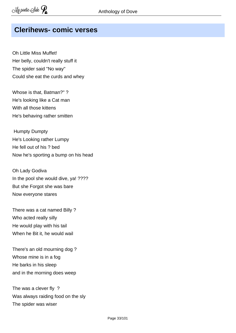## **Clerihews- comic verses**

Oh Little Miss Muffet! Her belly, couldn't really stuff it The spider said "No way" Could she eat the curds and whey

Whose is that, Batman?" ? He's looking like a Cat man With all those kittens He's behaving rather smitten

 Humpty Dumpty He's Looking rather Lumpy He fell out of his ? bed Now he's sporting a bump on his head

Oh Lady Godiva In the pool she would dive, ya! ???? But she Forgot she was bare Now everyone stares

There was a cat named Billy ? Who acted really silly He would play with his tail When he Bit it, he would wail

There's an old mourning dog ? Whose mine is in a fog He barks in his sleep and in the morning does weep

The was a clever fly ? Was always raiding food on the sly The spider was wiser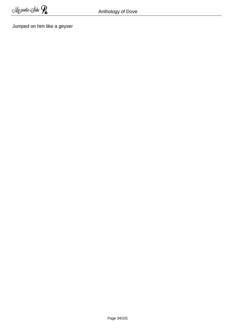Jumped on him like a geyser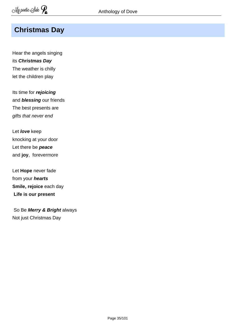# **Christmas Day**

Hear the angels singing its **Christmas Day** The weather is chilly let the children play

Its time for **rejoicing** and **blessing** our friends The best presents are gifts that never end

Let **love** keep knocking at your door Let there be **peace** and **joy**, forevermore

Let **Hope** never fade from your **hearts Smile, rejoice** each day **Life is our present**

 So Be **Merry & Bright** always Not just Christmas Day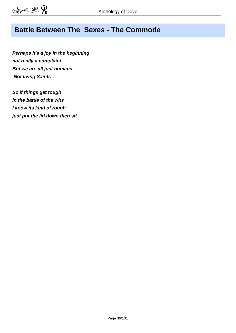# **Battle Between The Sexes - The Commode**

**Perhaps it's a joy in the beginning not really a complaint But we are all just humans Not living Saints**

**So if things get tough in the battle of the wits I know its kind of rough just put the lid down then sit**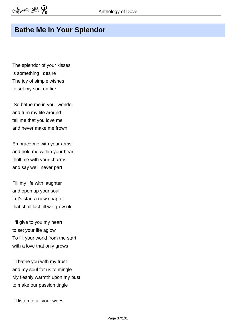## **Bathe Me In Your Splendor**

The splendor of your kisses is something I desire The joy of simple wishes to set my soul on fire

 So bathe me in your wonder and turn my life around tell me that you love me and never make me frown

Embrace me with your arms and hold me within your heart thrill me with your charms and say we'll never part

Fill my life with laughter and open up your soul Let's start a new chapter that shall last till we grow old

I 'll give to you my heart to set your life aglow To fill your world from the start with a love that only grows

I'll bathe you with my trust and my soul for us to mingle My fleshly warmth upon my bust to make our passion tingle

I'll listen to all your woes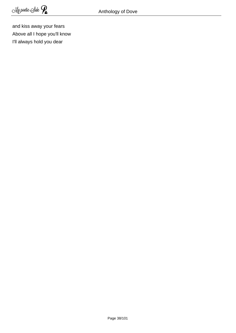and kiss away your fears Above all I hope you'll know I'll always hold you dear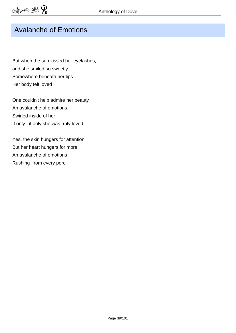# Avalanche of Emotions

But when the sun kissed her eyelashes, and she smiled so sweetly Somewhere beneath her lips Her body felt loved

One couldn't help admire her beauty An avalanche of emotions Swirled inside of her If only , if only she was truly loved

Yes, the skin hungers for attention But her heart hungers for more An avalanche of emotions Rushing from every pore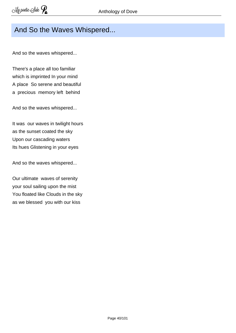## And So the Waves Whispered...

And so the waves whispered...

There's a place all too familiar which is imprinted In your mind A place So serene and beautiful a precious memory left behind

And so the waves whispered...

It was our waves in twilight hours as the sunset coated the sky Upon our cascading waters Its hues Glistening in your eyes

And so the waves whispered...

Our ultimate waves of serenity your soul sailing upon the mist You floated like Clouds in the sky as we blessed you with our kiss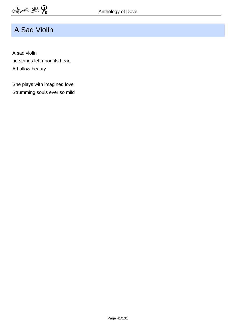# A Sad Violin

A sad violin no strings left upon its heart A hallow beauty

She plays with imagined love Strumming souls ever so mild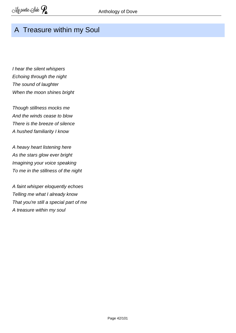#### A Treasure within my Soul

I hear the silent whispers Echoing through the night The sound of laughter When the moon shines bright

Though stillness mocks me And the winds cease to blow There is the breeze of silence A hushed familiarity I know

A heavy heart listening here As the stars glow ever bright Imagining your voice speaking To me in the stillness of the night

A faint whisper eloquently echoes Telling me what I already know That you're still a special part of me A treasure within my soul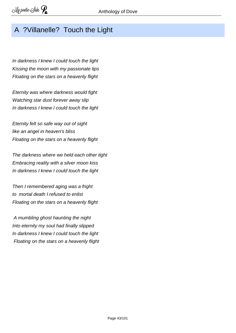## A ?Villanelle? Touch the Light

In darkness I knew I could touch the light Kissing the moon with my passionate lips Floating on the stars on a heavenly flight

Eternity was where darkness would fight Watching star dust forever away slip In darkness I knew I could touch the light

Eternity felt so safe way out of sight like an angel in heaven's bliss Floating on the stars on a heavenly flight

The darkness where we held each other tight Embracing reality with a silver moon kiss In darkness I knew I could touch the light

Then I remembered aging was a fright to mortal death I refused to enlist Floating on the stars on a heavenly flight

 A mumbling ghost haunting the night Into eternity my soul had finally slipped In darkness I knew I could touch the light Floating on the stars on a heavenly flight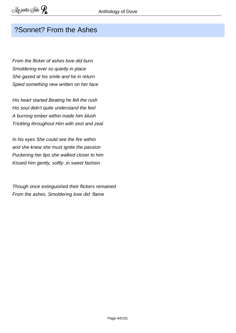#### ?Sonnet? From the Ashes

From the flicker of ashes love did burn Smoldering ever so quietly in place She gazed at his smile and he in return Spied something new written on her face

His heart started Beating he felt the rush His soul didn't quite understand the feel A burning ember within made him blush Trickling throughout Him with zest and zeal

In his eyes She could see the fire within and she knew she must ignite the passion Puckering her lips she walked closer to him Kissed him gently, softly ,in sweet fashion

Though once extinguished their flickers remained From the ashes, Smoldering love did flame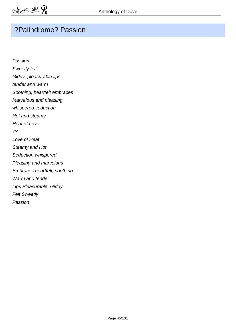# ?Palindrome? Passion

Passion Sweetly felt Giddy, pleasurable lips tender and warm Soothing, heartfelt embraces Marvelous and pleasing whispered seduction Hot and steamy Heat of Love ?? Love of Heat Steamy and Hot Seduction whispered Pleasing and marvelous Embraces heartfelt, soothing Warm and tender Lips Pleasurable, Giddy Felt Sweetly Passion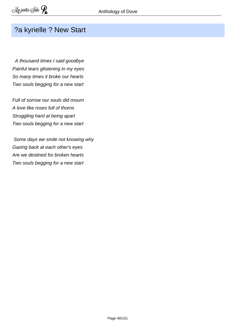## ?a kyrielle ? New Start

 A thousand times I said goodbye Painful tears glistening in my eyes So many times it broke our hearts Two souls begging for a new start

Full of sorrow our souls did mourn A love like roses full of thorns Struggling hard at being apart Two souls begging for a new start

Some days we smile not knowing why Gazing back at each other's eyes Are we destined for broken hearts Two souls begging for a new start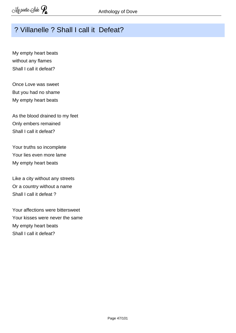# ? Villanelle ? Shall I call it Defeat?

My empty heart beats without any flames Shall I call it defeat?

Once Love was sweet But you had no shame My empty heart beats

As the blood drained to my feet Only embers remained Shall I call it defeat?

Your truths so incomplete Your lies even more lame My empty heart beats

Like a city without any streets Or a country without a name Shall I call it defeat ?

Your affections were bittersweet Your kisses were never the same My empty heart beats Shall I call it defeat?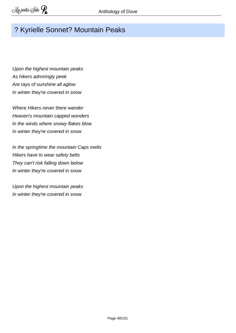## ? Kyrielle Sonnet? Mountain Peaks

Upon the highest mountain peaks As hikers admiringly peek Are rays of sunshine all aglow In winter they're covered in snow

Where Hikers never there wander Heaven's mountain capped wonders In the winds where snowy flakes blow In winter they're covered in snow

In the springtime the mountain Caps melts Hikers have to wear safety belts They can't risk falling down below In winter they're covered in snow

Upon the highest mountain peaks In winter they're covered in snow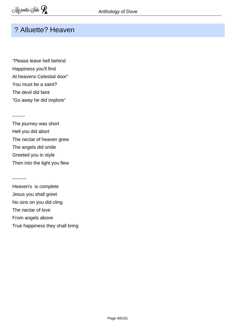## ? Alluette? Heaven

"Please leave hell behind Happiness you'll find At heavens Celestial door" You must be a saint? The devil did faint "Go away he did implore"

The journey was short

--------

Hell you did abort The nectar of heaven grew The angels did smile Greeted you in style Then into the light you flew

---------

Heaven's is complete Jesus you shall greet No sins on you did cling The nectar of love From angels above True happiness they shall bring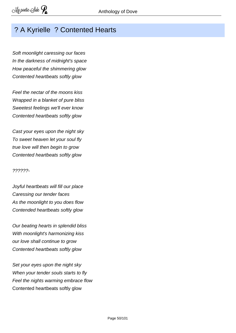## ? A Kyrielle ? Contented Hearts

Soft moonlight caressing our faces In the darkness of midnight's space How peaceful the shimmering glow Contented heartbeats softly glow

Feel the nectar of the moons kiss Wrapped in a blanket of pure bliss Sweetest feelings we'll ever know Contented heartbeats softly glow

Cast your eyes upon the night sky To sweet heaven let your soul fly true love will then begin to grow Contented heartbeats softly glow

#### ??????-

Joyful heartbeats will fill our place Caressing our tender faces As the moonlight to you does flow Contended heartbeats softly glow

Our beating hearts in splendid bliss With moonlight's harmonizing kiss our love shall continue to grow Contented heartbeats softly glow

Set your eyes upon the night sky When your tender souls starts to fly Feel the nights warming embrace flow Contented heartbeats softly glow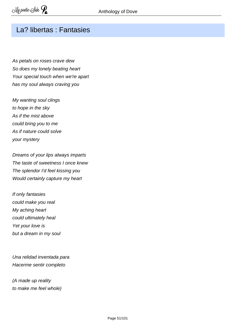#### La? libertas : Fantasies

As petals on roses crave dew So does my lonely beating heart Your special touch when we're apart has my soul always craving you

My wanting soul clings to hope in the sky As if the mist above could bring you to me As if nature could solve your mystery

Dreams of your lips always imparts The taste of sweetness I once knew The splendor I'd feel kissing you Would certainly capture my heart

If only fantasies could make you real My aching heart could ultimately heal Yet your love is but a dream in my soul

Una relidad inventada para Hacerme sentir completo

(A made up reality to make me feel whole)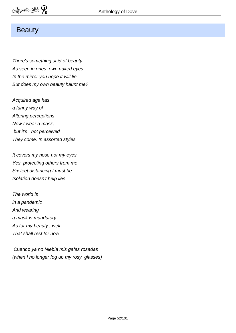#### **Beauty**

There's something said of beauty As seen in ones own naked eyes In the mirror you hope it will lie But does my own beauty haunt me?

Acquired age has a funny way of Altering perceptions Now I wear a mask, but it's , not perceived They come. In assorted styles

It covers my nose not my eyes Yes, protecting others from me Six feet distancing I must be Isolation doesn't help lies

The world is in a pandemic And wearing a mask is mandatory As for my beauty , well That shall rest for now

 Cuando ya no Niebla mis gafas rosadas (when I no longer fog up my rosy glasses)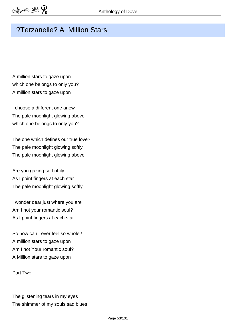## ?Terzanelle? A Million Stars

A million stars to gaze upon which one belongs to only you? A million stars to gaze upon

I choose a different one anew The pale moonlight glowing above which one belongs to only you?

The one which defines our true love? The pale moonlight glowing softly The pale moonlight glowing above

Are you gazing so Loftily As I point fingers at each star The pale moonlight glowing softly

I wonder dear just where you are Am I not your romantic soul? As I point fingers at each star

So how can I ever feel so whole? A million stars to gaze upon Am I not Your romantic soul? A Million stars to gaze upon

Part Two

The glistening tears in my eyes The shimmer of my souls sad blues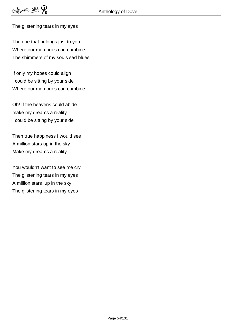The glistening tears in my eyes

The one that belongs just to you Where our memories can combine The shimmers of my souls sad blues

If only my hopes could align I could be sitting by your side Where our memories can combine

Oh! If the heavens could abide make my dreams a reality I could be sitting by your side

Then true happiness I would see A million stars up in the sky Make my dreams a reality

You wouldn't want to see me cry The glistening tears in my eyes A million stars up in the sky The glistening tears in my eyes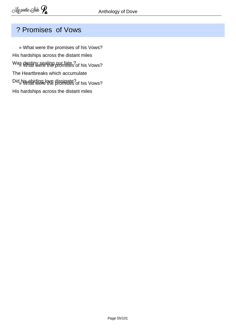## ? Promises of Vows

 » What were the promises of his Vows? His hardships across the distant miles Was destiny sealing our fates? of his Vows? The Heartbreaks which accumulate Did, his abiding love dissingts? of his Vows? His hardships across the distant miles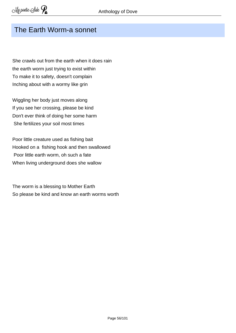#### The Earth Worm-a sonnet

She crawls out from the earth when it does rain the earth worm just trying to exist within To make it to safety, doesn't complain Inching about with a wormy like grin

Wiggling her body just moves along If you see her crossing, please be kind Don't ever think of doing her some harm She fertilizes your soil most times

Poor little creature used as fishing bait Hooked on a fishing hook and then swallowed Poor little earth worm, oh such a fate When living underground does she wallow

The worm is a blessing to Mother Earth So please be kind and know an earth worms worth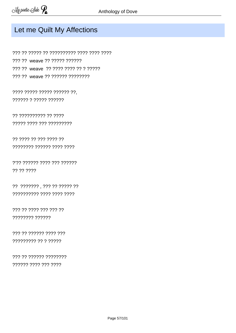## Let me Quilt My Affections

??? ?? weave ?? ????? ?????? ??? ?? weave ?? ???? ???? ?? ? ????? ??? ?? weave ?? ?????? ????????

???? ????? ????? ?????? ??, ?????? ????? ??????

77 7777777777 77 7777 ????? ???? ??? ?????????

?? ???? ?? ??? ???? ?? ???????? ?????? ???? ????

?'?? ?????? ???? ??? ?????? ?? ?? ????

?? ??????? , ??? ?? ????? ?? 7777777777 7777 7777 7777

??? ?? ???? ??? ??? ?? ???????? ??????

??? ?? ?????? ???? ??? ????????? ?? ? ?????

??? ?? ?????? ???????? ?????? ???? ??? ????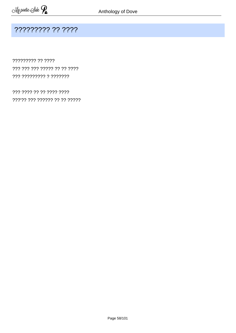## ????????? ?? ????

????????? ?? ???? 777 777 777 77777 77 77 7777 ??? ????????? ? ???????

??? ???? ?? ?? ???? ???? ???'?? ??? ?????? ?? ?? ?????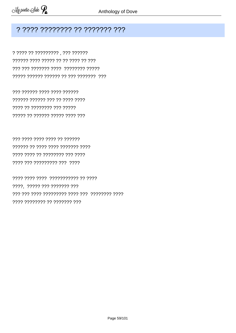#### ? ???? ???????? ?? ??????? ???

? ???? ?? ????????? , ??? ?????? ?????? ???? ????? ?? ?? ???? ?? ??? 777 777 7777777 7777 77777777 77777 ????? ?????? ?????? ?? ??? ??????? ???

??? ?????? ???? ???? ?????? ?????? ?????? ??? ?? ???? ???? ???? ?? ???????? ??? ????? 77777 77 777777 77777 7777 777

??? ???? ???? ???? ?? ?????? ?????? ?? ???? ???? ??????? ???? 7777 7777 77 77777777 777 7777 7777 777 777777777 777 7777

???? ???? ???? ??????????? ?? ???? ????, ????? ??? ??????? ??? 7777 77777777 77 7777777 777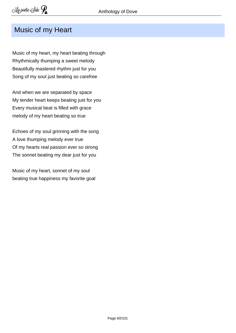### Music of my Heart

Music of my heart, my heart beating through Rhythmically thumping a sweet melody Beautifully mastered rhythm just for you Song of my soul just beating so carefree

And when we are separated by space My tender heart keeps beating just for you Every musical beat is filled with grace melody of my heart beating so true

Echoes of my soul grinning with the song A love thumping melody ever true Of my hearts real passion ever so strong The sonnet beating my dear just for you

Music of my heart, sonnet of my soul beating true happiness my favorite goal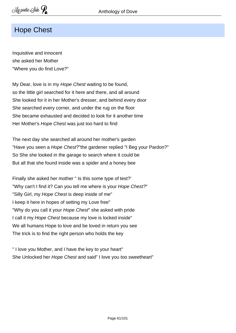#### Hope Chest

Inquisitive and innocent she asked her Mother "Where you do find Love?"

My Dear, love is in my Hope Chest waiting to be found, so the little girl searched for it here and there, and all around She looked for it in her Mother's dresser, and behind every door She searched every corner, and under the rug on the floor She became exhausted and decided to look for it another time Her Mother's Hope Chest was just too hard to find

The next day she searched all around her mother's garden "Have you seen a *Hope Chest*?"the gardener replied "I Beg your Pardon?" So She she looked in the garage to search where it could be But all that she found inside was a spider and a honey bee

Finally she asked her mother " Is this some type of test?' "Why can't I find it? Can you tell me where is your Hope Chest?" "Silly Girl, my Hope Chest is deep inside of me" I keep it here in hopes of setting my Love free" "Why do you call it your Hope Chest" she asked with pride I call it my Hope Chest because my love is locked inside" We all humans Hope to love and be loved in return you see The trick is to find the right person who holds the key

" I love you Mother, and I have the key to your heart" She Unlocked her Hope Chest and said" I love you too sweetheart"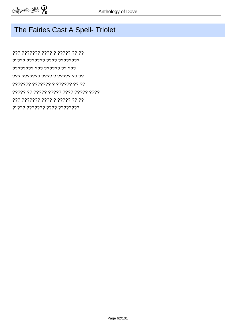# The Fairies Cast A Spell- Triolet

??? ??????? ???? ? ????? ?? ?? ?' ??? ??????? ???? ???????? ???????? ??? ?????? ?? ??? 777 7777777 7777 7 77777 77 77 ??????? ??????? ? ?????? ?? ?? ????? ?? ????? ????? ???? ????? ???? ??? ??????? ???? ? ????? ?? ?? ?' ??? ??????? ???? ????????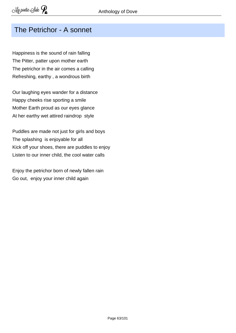#### The Petrichor - A sonnet

Happiness is the sound of rain falling The Pitter, patter upon mother earth The petrichor in the air comes a calling Refreshing, earthy , a wondrous birth

Our laughing eyes wander for a distance Happy cheeks rise sporting a smile Mother Earth proud as our eyes glance At her earthy wet attired raindrop style

Puddles are made not just for girls and boys The splashing is enjoyable for all Kick off your shoes, there are puddles to enjoy Listen to our inner child, the cool water calls

Enjoy the petrichor born of newly fallen rain Go out, enjoy your inner child again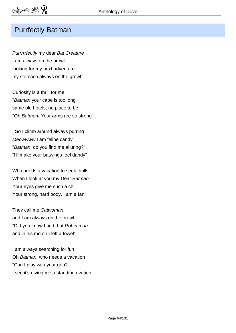#### Purrfectly Batman

Purrrrrfectly my dear Bat Creature I am always on the prowl looking for my next adventure my stomach always on the growl

Curiosity is a thrill for me "Batman your cape is too long" same old hotels, no place to be "Oh Batman! Your arms are so strong"

So I climb around always purring Meowwww I am feline candy "Batman, do you find me alluring?" "I'll make your batwings feel dandy"

Who needs a vacation to seek thrills When I look at you my Dear Batman Your eyes give me such a chill Your strong, hard body, I am a fan!

They call me Catwoman, and I am always on the prowl "Did you know I tied that Robin man and in his mouth I left a towel"

I am always searching for fun Oh Batman, who needs a vacation "Can I play with your gun?" I see it's giving me a standing ovation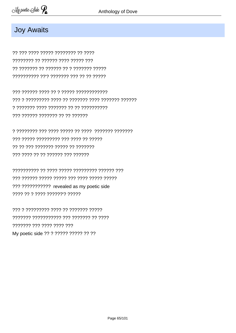## **Joy Awaits**

?? ??? ???? ????? ???????? ?? ???? 77777777 7777777 7777 77777 777 77 7777777 77 777777 77 7 7777777 77777 ?????????? ??? ??????? ??? ?? ?? ?????

777 777777 7777777 77 77 777777

??? ????? ????????? ??? ???? ?? ????? 77 77 777 7777777 77777 77 7777777 777 7777 77 77 777777 777 777777

??? ??????????? revealed as my poetic side 7777 77 7777 7777777 77777

??? ? ????????? ???? ?? ??????? ????? 777777 777777777777 777 7777777 77777 ??????? ??? ???? ???? ??? My poetic side ?? ? ????? ????? ?? ??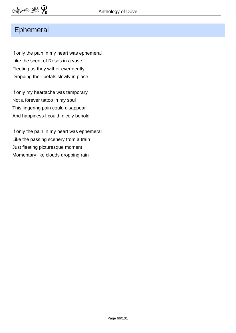## Ephemeral

If only the pain in my heart was ephemeral Like the scent of Roses in a vase Fleeting as they wither ever gently Dropping their petals slowly in place

If only my heartache was temporary Not a forever tattoo in my soul This lingering pain could disappear And happiness I could nicely behold

If only the pain in my heart was ephemeral Like the passing scenery from a train Just fleeting picturesque moment Momentary like clouds dropping rain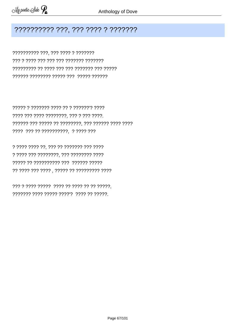## ?????????? ???, ??? ???? ? ???????

?????????? ???, ??? ???? ? ??????? ??? ? ???? ??? ??? ??? ??????? ??????? ?????? ???????? ????? ??? ????? ??????

????? ? ??????? ???? ?? ? ??????? ???? ???? ??? ???? ????????, ??? ? ??? ????. ???? ??? ?? ???????????, ? ???? ???

? ???? ???? ??, ??? ?? ??????? ??? ???? ? ???? ??? ????????. ??? ???????? ???? 77 7777 777 7777 . 77777 77 777777777 7777

777777 2777 77777 77777 7777 77777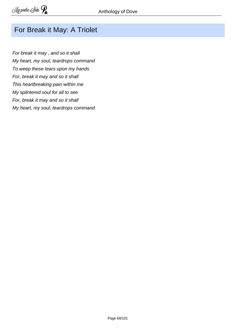#### For Break it May: A Triolet

For break it may , and so it shall My heart, my soul, teardrops command To weep these tears upon my hands For, break it may and so it shall This heartbreaking pain within me My splintered soul for all to see For, break it may and so it shall My heart, my soul, teardrops command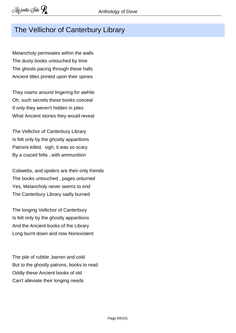# The Vellichor of Canterbury Library

Melancholy permeates within the walls The dusty books untouched by time The ghosts pacing through these halls Ancient titles printed upon their spines

They roams around lingering for awhile Oh, such secrets these books conceal If only they weren't hidden in piles What Ancient stories they would reveal

The Vellichor of Canterbury Library Is felt only by the ghostly apparitions Patrons killed, sigh, it was so scary By a crazed fella , with ammunition

Cobwebs, and spiders are their only friends The books untouched , pages unturned Yes, Melancholy never seems to end The Canterbury Library sadly burned

The longing Vellichor of Canterbury Is felt only by the ghostly apparitions And the Ancient books of the Library Long burnt down and now Nonexistent

The pile of rubble ,barren and cold But to the ghostly patrons, books to read Oddly these Ancient books of old Can't alleviate their longing needs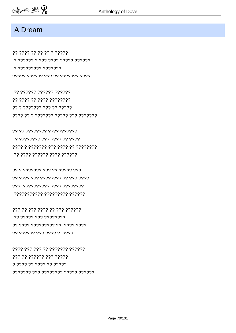#### A Dream

?? ???? ?? ?? ?? ? ????? ? ?????? ? ??? ???? ????? ?????? 2 222222222 2222222 ????? ?????? ??? ?? ??????? ????

?? ?????? ?????? ?????? ?? ???? ?? ???? ???????? ?? ? ??????? ??? ?? ????? 7777 77 7777777 77777 777 7777777

?? ?? ???????? ??????????? ? ???????? ??? ???? ?? ???? ???? ? ??????? ??? ???? ?? ???????? 77 7777 777777 7777 777777

?? ? ?????? ??? ?? ????? ??? ?? ???? ??? ???????? ?? ??? ???? 777 7777777777 7777 77777777 77777777777 777777777 777777

??? ?? ??? ???? ?? ??? ?????? 77 77777 777 77777777 ?? ???? ????????? ?? ???? ???? 77 777777 777 7777 7 7777

7777 777 777 77 7777777 777777 ??? ?? ?????? ??? ????? ? ???? ?? ???? ?? ????? ??????? ??? ???????? ????? ??????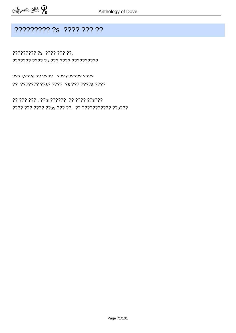## ????????? ?s ???? ??? ??

????????? ?s ???? ??? ??, ??????? ???? ?s ??? ???? ???????????

??? s???s ?? ???? ??? s????? ???? ?? ??????? ??s? ???? ?s ??? ????s ????

?? ??? ??? , ??'s ?????? ?? ???? ??s???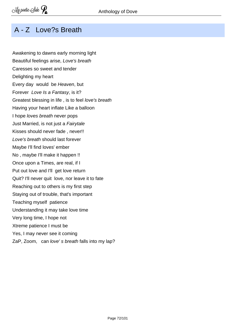# A - Z Love?s Breath

Awakening to dawns early morning light Beautiful feelings arise, Love's breath Caresses so sweet and tender Delighting my heart Every day would be Heaven, but Forever Love Is a Fantasy, is it? Greatest blessing in life , is to feel love's breath Having your heart inflate Like a balloon I hope loves breath never pops Just Married, is not just a Fairytale Kisses should never fade , never!! Love's breath should last forever Maybe I'll find loves' ember No , maybe I'll make it happen !! Once upon a Times, are real, if I Put out love and I'll get love return Quit? I'll never quit love, nor leave it to fate Reaching out to others is my first step Staying out of trouble, that's important Teaching myself patience UnderstandIng it may take love time Very long time, I hope not Xtreme patience I must be Yes, I may never see it coming ZaP, Zoom, can love' s breath falls into my lap?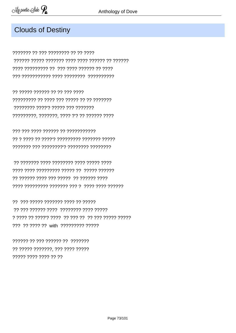### **Clouds of Destiny**

??????? ?? ??? ???????? ?? ?? ???? 

?? ????? ?????? ?? ?? ??? ???? ???????? ????? ????? ??? ??????? ?????????, ???????, ???? ?'? ?? ?????? ????

777 777 7777 777777 77 77777777777 

?? ?????? ???? ??? ????? ?? ?????? ???? 

77 777 77777 7777777 7777 77 77777 ?? ??? ?????? ???? ???????? ???? ????? ??? ?? ???? ?? with ????????? ?????

?????? ?? ??? ?????? ?? ??????? ?? ????? ???????, ??? ???? ????? ????? ???? ???? ?? ??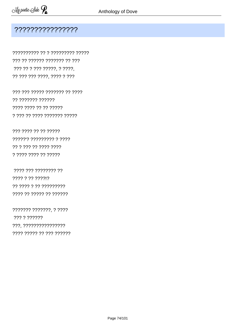#### ?????????????????

?????????? ?? ? ???????? ????? ??? ?? ?????? ??????? ?? ??? ??? ?? ? ??? ?????. ? ????. ?? ??? ??? ????, ???? ? ???

??? ??? ????? ??????? ?? ???? ?? ??????? ?????? ???? ???? ?? ?? ????? 2 222 22 2222 2222222 22222

??? ???? ?? ?? ????? ?????? ????????? ? ???? ?? ? ??? ?? ???? ???? 7 7777 7777 77 77777

???? ??? ???????? ?? ???? ? ?? ????!? ?? ???? ? ?? ????????? 7777 77 77777 77 777777

??????? ???????, ? ???? ??? ? ?????? ???, ???????????????? ???? ????? ?? ??? ??????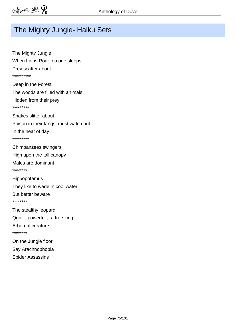## The Mighty Jungle- Haiku Sets

The Mighty Jungle When Lions Roar, no one sleeps Prey scatter about \*\*\*\*\*\*\*\*\*\* Deep in the Forest The woods are filled with animals Hidden from their prey \*\*\*\*\*\*\*\*\* Snakes slitter about Poison in their fangs, must watch out In the heat of day \*\*\*\*\*\*\*\*\* Chimpanzees swingers High upon the tall canopy Males are dominant \*\*\*\*\*\*\*\* Hippopotamus They like to wade in cool water But better beware \*\*\*\*\*\*\*\* The stealthy leopard Quiet , powerful , a true king Arboreal creature \*\*\*\*\*\*\*\*, On the Jungle floor Say Arachnophobia Spider Assassins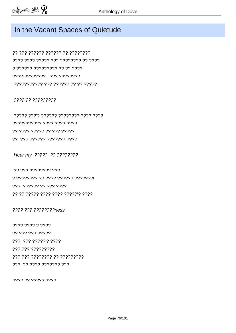## In the Vacant Spaces of Quietude

?? ??? ?????? ?????? ?? ???????? 7777 7777 77777 777 77777777 77 7777 2 222222 222222222 22 22 2222 ????-???????? ??? ????????? 1??????????? ??? ?????? ?? ?? ?????

???? ?? ?????????

77777 77777 777777 77777777 7777 7777 77777777777 7777 7777 7777 ?? ???? ????? ?? ??? ????? ?? ??? ?????? ??????? ????

Hear my ????? ?? ????????

?? ??? ???????? ??? ? ???????? ?? ???? ?????? ???????! 777 777777 77 777 7777 77 77 77777 7777 7777 777777 7777

???? ??? ????????hess

???? ???? ? ???? ?? ??? ??? ????? ???, ??? ??????? ???? 777 777 777777777 ??? ??? ???????? ?? ????????? ??? ?? ???? ??????? ???

???? ?? ????? ????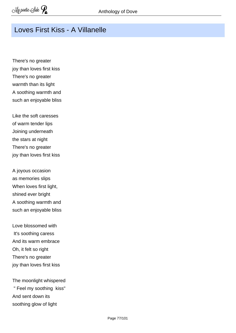### Loves First Kiss - A Villanelle

There's no greater joy than loves first kiss There's no greater warmth than its light A soothing warmth and such an enjoyable bliss

Like the soft caresses of warm tender lips Joining underneath the stars at night There's no greater joy than loves first kiss

A joyous occasion as memories slips When loves first light, shined ever bright A soothing warmth and such an enjoyable bliss

Love blossomed with It's soothing caress And its warm embrace Oh, it felt so right There's no greater joy than loves first kiss

The moonlight whispered " Feel my soothing kiss" And sent down its soothing glow of light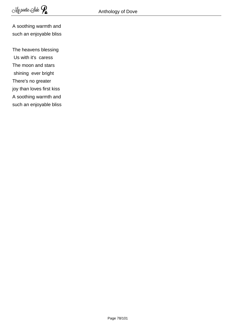A soothing warmth and such an enjoyable bliss

The heavens blessing Us with it's caress The moon and stars shining ever bright There's no greater joy than loves first kiss A soothing warmth and such an enjoyable bliss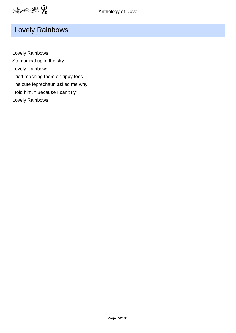# Lovely Rainbows

Lovely Rainbows So magical up in the sky Lovely Rainbows Tried reaching them on tippy toes The cute leprechaun asked me why I told him, " Because I can't fly" Lovely Rainbows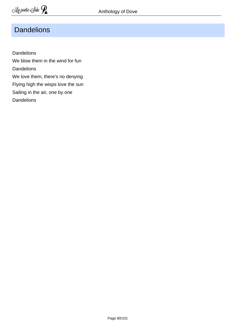## **Dandelions**

**Dandelions** We blow them in the wind for fun Dandelions We love them, there's no denying Flying high the wisps love the sun Sailing in the air, one by one Dandelions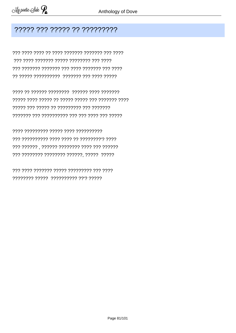### 77777 777 77777 77 777777777

???? ????????? ????? ???? ?????????? 777 77777777 77777777 777777, 77777 77777

???????? ????? ?????????? ??? ?????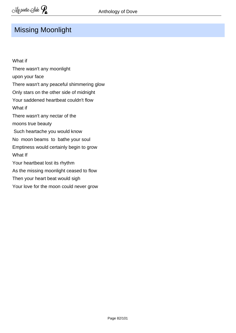## Missing Moonlight

What if There wasn't any moonlight upon your face There wasn't any peaceful shimmering glow Only stars on the other side of midnight Your saddened heartbeat couldn't flow What if There wasn't any nectar of the moons true beauty Such heartache you would know No moon beams to bathe your soul Emptiness would certainly begin to grow What If Your heartbeat lost its rhythm As the missing moonlight ceased to flow Then your heart beat would sigh Your love for the moon could never grow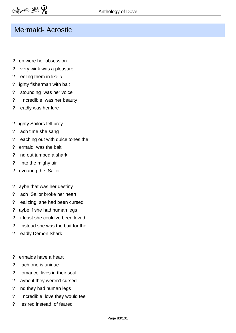### Mermaid- Acrostic

- ? en were her obsession
- ? very wink was a pleasure
- ? eeling them in like a
- ? ighty fisherman with bait
- ? stounding was her voice
- ? ncredible was her beauty
- ? eadly was her lure
- ? ighty Sailors fell prey
- ? ach time she sang
- ? eaching out with dulce tones the
- ? ermaid was the bait
- ? nd out jumped a shark
- ? nto the mighy air
- ? evouring the Sailor
- ? aybe that was her destiny
- ? ach Sailor broke her heart
- ? ealizing she had been cursed
- ? aybe if she had human legs
- ? t least she could've been loved
- ? nstead she was the bait for the
- ? eadly Demon Shark
- ? ermaids have a heart
- ? ach one is unique
- ? omance lives in their soul
- ? aybe if they weren't cursed
- ? nd they had human legs
- ? ncredible love they would feel
- ? esired instead of feared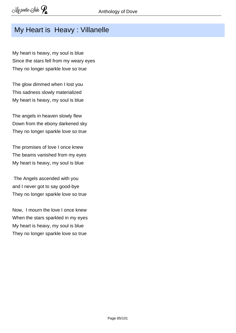### My Heart is Heavy : Villanelle

My heart is heavy, my soul is blue Since the stars fell from my weary eyes They no longer sparkle love so true

The glow dimmed when I lost you This sadness slowly materialized My heart is heavy, my soul is blue

The angels in heaven slowly flew Down from the ebony darkened sky They no longer sparkle love so true

The promises of love I once knew The beams vanished from my eyes My heart is heavy, my soul is blue

 The Angels ascended with you and I never got to say good-bye They no longer sparkle love so true

Now, I mourn the love I once knew When the stars sparkled in my eyes My heart is heavy, my soul is blue They no longer sparkle love so true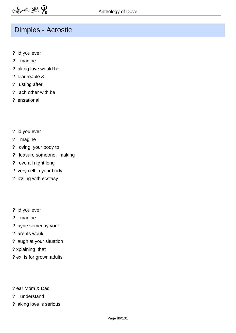## Dimples - Acrostic

- ? id you ever
- ? magine
- ? aking love would be
- ? leaureable &
- ? usting after
- ? ach other with be
- ? ensational
- ? id you ever
- ? magine
- ? oving your body to
- ? leasure someone, making
- ? ove all night long
- ? very cell in your body
- ? izzling with ecstasy
- ? id you ever
- ? magine
- ? aybe someday your
- ? arents would
- ? augh at your situation
- ? xplaining that
- ? ex is for grown adults
- ? ear Mom & Dad
- ? understand
- ? aking love is serious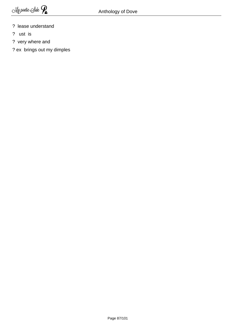- ? lease understand
- ? ust is
- ? very where and
- ? ex brings out my dimples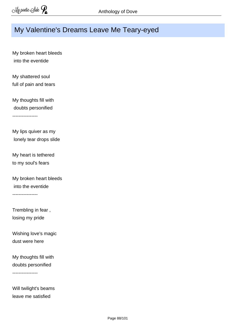## My Valentine's Dreams Leave Me Teary-eyed

My broken heart bleeds into the eventide

My shattered soul full of pain and tears

My thoughts fill with doubts personified ----------------

My lips quiver as my lonely tear drops slide

My heart is tethered to my soul's fears

My broken heart bleeds into the eventide ----------------

Trembling in fear , losing my pride

Wishing love's magic dust were here

My thoughts fill with doubts personified ----------------

Will twilight's beams leave me satisfied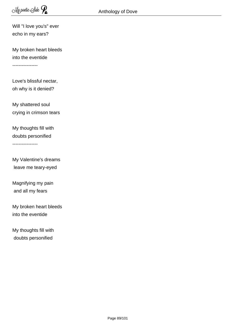Will "I love you's" ever echo in my ears?

My broken heart bleeds into the eventide

----------------

Love's blissful nectar, oh why is it denied?

My shattered soul crying in crimson tears

My thoughts fill with doubts personified

----------------

My Valentine's dreams leave me teary-eyed

Magnifying my pain and all my fears

My broken heart bleeds into the eventide

My thoughts fill with doubts personified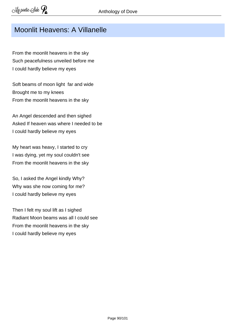### Moonlit Heavens: A Villanelle

From the moonlit heavens in the sky Such peacefulness unveiled before me I could hardly believe my eyes

Soft beams of moon light far and wide Brought me to my knees From the moonlit heavens in the sky

An Angel descended and then sighed Asked If heaven was where I needed to be I could hardly believe my eyes

My heart was heavy, I started to cry I was dying, yet my soul couldn't see From the moonlit heavens in the sky

So, I asked the Angel kindly Why? Why was she now coming for me? I could hardly believe my eyes

Then I felt my soul lift as I sighed Radiant Moon beams was all I could see From the moonlit heavens in the sky I could hardly believe my eyes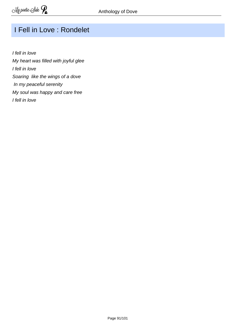# I Fell in Love : Rondelet

I fell in love My heart was filled with joyful glee I fell in love Soaring like the wings of a dove In my peaceful serenity My soul was happy and care free I fell in love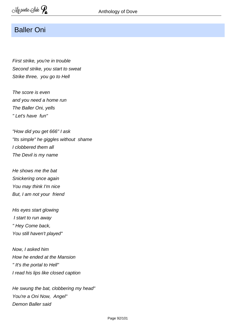#### Baller Oni

First strike, you're in trouble Second strike, you start to sweat Strike three, you go to Hell

The score is even and you need a home run The Baller Oni, yells " Let's have fun"

"How did you get 666" I ask "Its simple" he giggles without shame I clobbered them all The Devil is my name

He shows me the bat Snickering once again You may think I'm nice But, I am not your friend

His eyes start glowing I start to run away " Hey Come back, You still haven't played"

Now, I asked him How he ended at the Mansion " It's the portal to Hell" I read his lips like closed caption

He swung the bat, clobbering my head" You're a Oni Now, Angel" Demon Baller said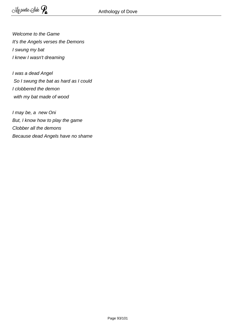Welcome to the Game It's the Angels verses the Demons I swung my bat I knew I wasn't dreaming

I was a dead Angel So I swung the bat as hard as I could I clobbered the demon with my bat made of wood

I may be, a new Oni But, I know how to play the game Clobber all the demons Because dead Angels have no shame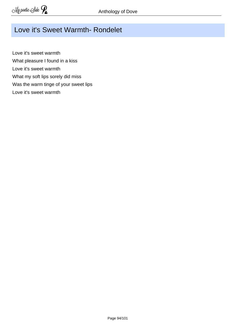## Love it's Sweet Warmth- Rondelet

Love it's sweet warmth What pleasure I found in a kiss Love it's sweet warmth What my soft lips sorely did miss Was the warm tinge of your sweet lips Love it's sweet warmth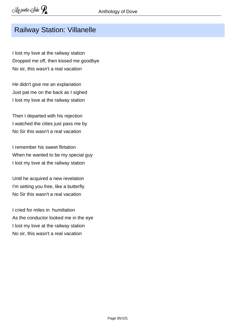### Railway Station: Villanelle

I lost my love at the railway station Dropped me off, then kissed me goodbye No sir, this wasn't a real vacation

He didn't give me an explanation Just pat me on the back as I sighed I lost my love at the railway station

Then I departed with his rejection I watched the cities just pass me by No Sir this wasn't a real vacation

I remember his sweet flirtation When he wanted to be my special guy I lost my love at the railway station

Until he acquired a new revelation I'm setting you free, like a butterfly No Sir this wasn't a real vacation

I cried for miles in humiliation As the conductor looked me in the eye I lost my love at the railway station No sir, this wasn't a real vacation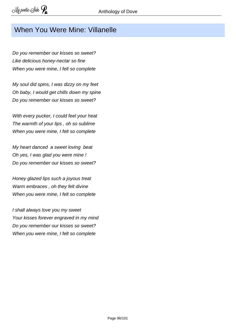### When You Were Mine: Villanelle

Do you remember our kisses so sweet? Like delicious honey-nectar so fine When you were mine, I felt so complete

My soul did spins, I was dizzy on my feet Oh baby, I would get chills down my spine Do you remember our kisses so sweet?

With every pucker, I could feel your heat The warmth of your lips , oh so sublime When you were mine, I felt so complete

My heart danced a sweet loving beat Oh yes, I was glad you were mine ! Do you remember our kisses so sweet?

Honey glazed lips such a joyous treat Warm embraces , oh they felt divine When you were mine, I felt so complete

I shall always love you my sweet Your kisses forever engraved in my mind Do you remember our kisses so sweet? When you were mine, I felt so complete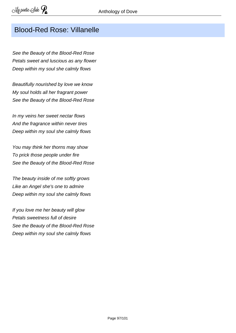#### Blood-Red Rose: Villanelle

See the Beauty of the Blood-Red Rose Petals sweet and luscious as any flower Deep within my soul she calmly flows

Beautifully nourished by love we know My soul holds all her fragrant power See the Beauty of the Blood-Red Rose

In my veins her sweet nectar flows And the fragrance within never tires Deep within my soul she calmly flows

You may think her thorns may show To prick those people under fire See the Beauty of the Blood-Red Rose

The beauty inside of me softly grows Like an Angel she's one to admire Deep within my soul she calmly flows

If you love me her beauty will glow Petals sweetness full of desire See the Beauty of the Blood-Red Rose Deep within my soul she calmly flows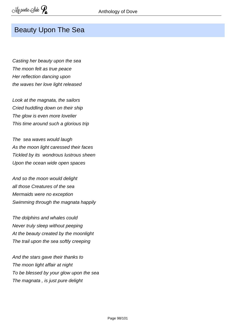### Beauty Upon The Sea

Casting her beauty upon the sea The moon felt as true peace Her reflection dancing upon the waves her love light released

Look at the magnata, the sailors Cried huddling down on their ship The glow is even more lovelier This time around such a glorious trip

The sea waves would laugh As the moon light caressed their faces Tickled by its wondrous lustrous sheen Upon the ocean wide open spaces

And so the moon would delight all those Creatures of the sea Mermaids were no exception Swimming through the magnata happily

The dolphins and whales could Never truly sleep without peeping At the beauty created by the moonlight The trail upon the sea softly creeping

And the stars gave their thanks to The moon light affair at night To be blessed by your glow upon the sea The magnata , is just pure delight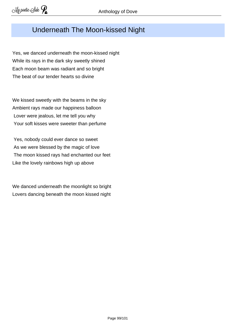## Underneath The Moon-kissed Night

Yes, we danced underneath the moon-kissed night While its rays in the dark sky sweetly shined Each moon beam was radiant and so bright The beat of our tender hearts so divine

We kissed sweetly with the beams in the sky Ambient rays made our happiness balloon Lover were jealous, let me tell you why Your soft kisses were sweeter than perfume

 Yes, nobody could ever dance so sweet As we were blessed by the magic of love The moon kissed rays had enchanted our feet Like the lovely rainbows high up above

We danced underneath the moonlight so bright Lovers dancing beneath the moon kissed night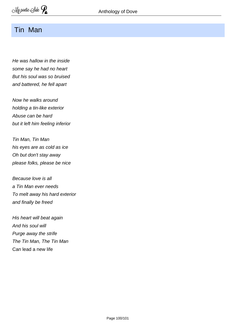#### Tin Man

He was hallow in the inside some say he had no heart But his soul was so bruised and battered, he fell apart

Now he walks around holding a tin-like exterior Abuse can be hard but it left him feeling inferior

Tin Man, Tin Man his eyes are as cold as ice Oh but don't stay away please folks, please be nice

Because love is all a Tin Man ever needs To melt away his hard exterior and finally be freed

His heart will beat again And his soul will Purge away the strife The Tin Man, The Tin Man Can lead a new life